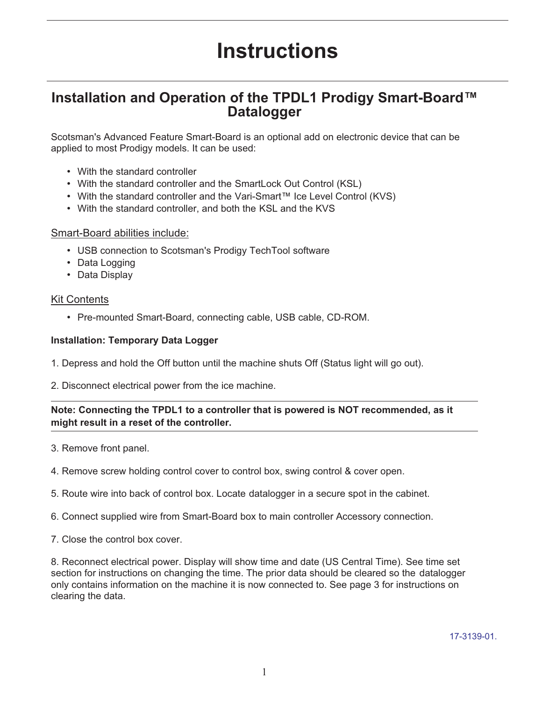# **Instructions**

# **Installation and Operation of the TPDL1 Prodigy Smart-Board™ Datalogger**

Scotsman's Advanced Feature Smart-Board is an optional add on electronic device that can be applied to most Prodigy models. It can be used:

- With the standard controller
- With the standard controller and the SmartLock Out Control (KSL)
- With the standard controller and the Vari-Smart™ Ice Level Control (KVS)
- With the standard controller, and both the KSL and the KVS

#### Smart-Board abilities include:

- USB connection to Scotsman's Prodigy TechTool software
- Data Logging
- Data Display

#### Kit Contents

• Pre-mounted Smart-Board, connecting cable, USB cable, CD-ROM.

#### **Installation: Temporary Data Logger**

- 1. Depress and hold the Off button until the machine shuts Off (Status light will go out).
- 2. Disconnect electrical power from the ice machine.

#### **Note: Connecting the TPDL1 to a controller that is powered is NOT recommended, as it might result in a reset of the controller.**

- 3. Remove front panel.
- 4. Remove screw holding control cover to control box, swing control & cover open.
- 5. Route wire into back of control box. Locate datalogger in a secure spot in the cabinet.
- 6. Connect supplied wire from Smart-Board box to main controller Accessory connection.
- 7. Close the control box cover.

8. Reconnect electrical power. Display will show time and date (US Central Time). See time set section for instructions on changing the time. The prior data should be cleared so the datalogger only contains information on the machine it is now connected to. See page 3 for instructions on clearing the data.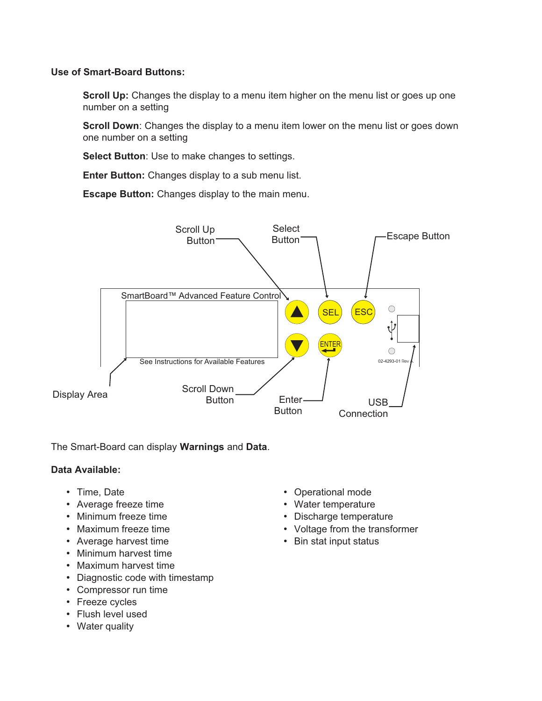#### **Use of Smart-Board Buttons:**

**Scroll Up:** Changes the display to a menu item higher on the menu list or goes up one number on a setting

**Scroll Down**: Changes the display to a menu item lower on the menu list or goes down one number on a setting

**Select Button**: Use to make changes to settings.

**Enter Button:** Changes display to a sub menu list.

**Escape Button:** Changes display to the main menu.



The Smart-Board can display **Warnings** and **Data**.

#### **Data Available:**

- Time, Date
- Average freeze time
- Minimum freeze time
- Maximum freeze time
- Average harvest time
- Minimum harvest time
- Maximum harvest time
- Diagnostic code with timestamp
- Compressor run time
- Freeze cycles
- Flush level used
- Water quality
- Operational mode
- Water temperature
- Discharge temperature
- Voltage from the transformer
- Bin stat input status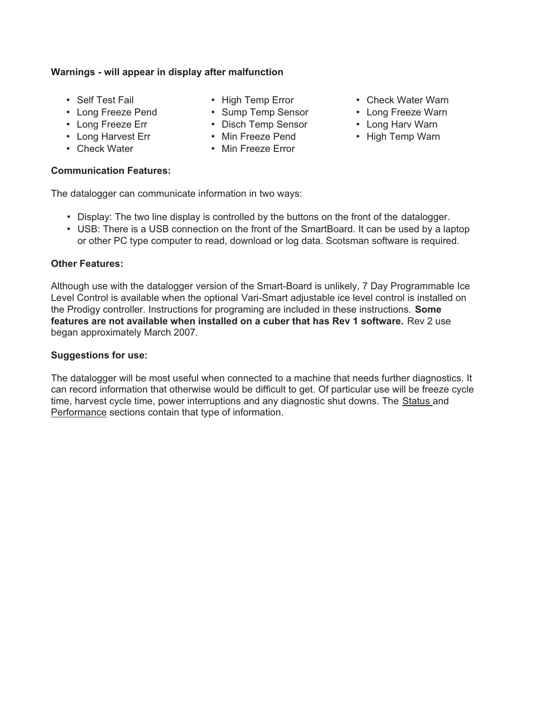#### **Warnings - will appear in display after malfunction**

- Self Test Fail
- Long Freeze Pend
- Long Freeze Err
- Long Harvest Err
- Check Water

#### **Communication Features:**

- High Temp Error
- Sump Temp Sensor
- Disch Temp Sensor
- Min Freeze Pend
- Min Freeze Error
- Check Water Warn
- Long Freeze Warn
- Long Harv Warn
- High Temp Warn

The datalogger can communicate information in two ways:

- Display: The two line display is controlled by the buttons on the front of the datalogger.
- USB: There is a USB connection on the front of the SmartBoard. It can be used by a laptop or other PC type computer to read, download or log data. Scotsman software is required.

#### **Other Features:**

Although use with the datalogger version of the Smart-Board is unlikely, 7 Day Programmable Ice Level Control is available when the optional Vari-Smart adjustable ice level control is installed on the Prodigy controller. Instructions for programing are included in these instructions. **Some features are not available when installed on a cuber that has Rev 1 software.** Rev 2 use began approximately March 2007.

#### **Suggestions for use:**

The datalogger will be most useful when connected to a machine that needs further diagnostics. It can record information that otherwise would be difficult to get. Of particular use will be freeze cycle time, harvest cycle time, power interruptions and any diagnostic shut downs. The Status and Performance sections contain that type of information.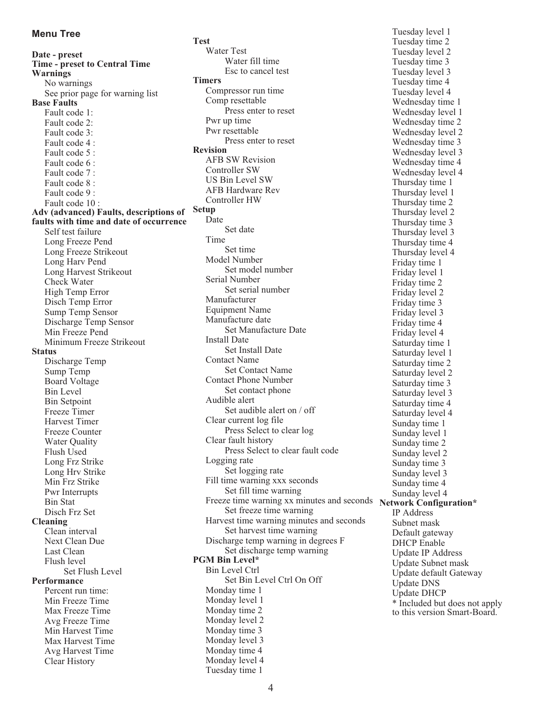**Date - preset Time - preset to Central Time Warnings** No warnings See prior page for warning list **Base Faults** Fault code 1: Fault code 2: Fault code 3: Fault code 4 : Fault code 5 : Fault code 6 : Fault code 7 : Fault code 8 : Fault code 9 : Fault code 10 : **Adv (advanced) Faults, descriptions of faults with time and date of occurrence** Self test failure Long Freeze Pend Long Freeze Strikeout Long Harv Pend Long Harvest Strikeout Check Water High Temp Error Disch Temp Error Sump Temp Sensor Discharge Temp Sensor Min Freeze Pend Minimum Freeze Strikeout **Status** Discharge Temp Sump Temp Board Voltage Bin Level Bin Setpoint Freeze Timer Harvest Timer Freeze Counter Water Quality Flush Used Long Frz Strike Long Hrv Strike Min Frz Strike Pwr Interrupts Bin Stat Disch Frz Set **Cleaning** Clean interval Next Clean Due Last Clean Flush level Set Flush Level **Performance** Percent run time: Min Freeze Time Max Freeze Time Avg Freeze Time Min Harvest Time Max Harvest Time Avg Harvest Time Clear History

**Test** Water Test Water fill time Esc to cancel test **Timers** Compressor run time Comp resettable Press enter to reset Pwr up time Pwr resettable Press enter to reset **Revision** AFB SW Revision Controller SW US Bin Level SW AFB Hardware Rev Controller HW **Setup** Date Set date Time Set time Model Number Set model number Serial Number Set serial number Manufacturer Equipment Name Manufacture date Set Manufacture Date Install Date Set Install Date Contact Name Set Contact Name Contact Phone Number Set contact phone Audible alert Set audible alert on / off Clear current log file Press Select to clear log Clear fault history Press Select to clear fault code Logging rate Set logging rate Fill time warning xxx seconds Set fill time warning Freeze time warning xx minutes and seconds Network Configuration\* Set freeze time warning Harvest time warning minutes and seconds Set harvest time warning Discharge temp warning in degrees F Set discharge temp warning **PGM Bin Level\*** Bin Level Ctrl Set Bin Level Ctrl On Off Monday time 1 Monday level 1 Monday time 2 Monday level 2 Monday time 3 Monday level 3 Monday time 4 Monday level 4

Tuesday level 1 Tuesday time 2 Tuesday level 2 Tuesday time 3 Tuesday level 3 Tuesday time 4 Tuesday level 4 Wednesday time 1 Wednesday level 1 Wednesday time 2 Wednesday level 2 Wednesday time 3 Wednesday level 3 Wednesday time 4 Wednesday level 4 Thursday time 1 Thursday level 1 Thursday time 2 Thursday level 2 Thursday time 3 Thursday level 3 Thursday time 4 Thursday level 4 Friday time 1 Friday level 1 Friday time 2 Friday level 2 Friday time 3 Friday level 3 Friday time 4 Friday level 4 Saturday time 1 Saturday level 1 Saturday time 2 Saturday level 2 Saturday time 3 Saturday level 3 Saturday time 4 Saturday level 4 Sunday time 1 Sunday level 1 Sunday time 2 Sunday level 2 Sunday time 3 Sunday level 3 Sunday time 4 Sunday level 4 IP Address Subnet mask Default gateway DHCP Enable Update IP Address Update Subnet mask Update default Gateway Update DNS Update DHCP \* Included but does not apply to this version Smart-Board.

Tuesday time 1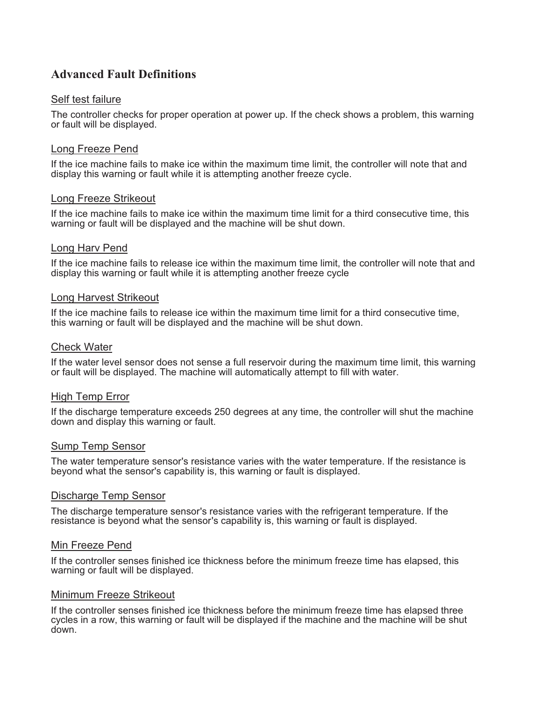## **Advanced Fault Definitions**

#### Self test failure

The controller checks for proper operation at power up. If the check shows a problem, this warning or fault will be displayed.

#### Long Freeze Pend

If the ice machine fails to make ice within the maximum time limit, the controller will note that and display this warning or fault while it is attempting another freeze cycle.

#### Long Freeze Strikeout

If the ice machine fails to make ice within the maximum time limit for a third consecutive time, this warning or fault will be displayed and the machine will be shut down.

#### Long Harv Pend

If the ice machine fails to release ice within the maximum time limit, the controller will note that and display this warning or fault while it is attempting another freeze cycle

#### Long Harvest Strikeout

If the ice machine fails to release ice within the maximum time limit for a third consecutive time, this warning or fault will be displayed and the machine will be shut down.

#### Check Water

If the water level sensor does not sense a full reservoir during the maximum time limit, this warning or fault will be displayed. The machine will automatically attempt to fill with water.

#### High Temp Error

If the discharge temperature exceeds 250 degrees at any time, the controller will shut the machine down and display this warning or fault.

#### Sump Temp Sensor

The water temperature sensor's resistance varies with the water temperature. If the resistance is beyond what the sensor's capability is, this warning or fault is displayed.

#### Discharge Temp Sensor

The discharge temperature sensor's resistance varies with the refrigerant temperature. If the resistance is beyond what the sensor's capability is, this warning or fault is displayed.

#### Min Freeze Pend

If the controller senses finished ice thickness before the minimum freeze time has elapsed, this warning or fault will be displayed.

#### Minimum Freeze Strikeout

If the controller senses finished ice thickness before the minimum freeze time has elapsed three cycles in a row, this warning or fault will be displayed if the machine and the machine will be shut down.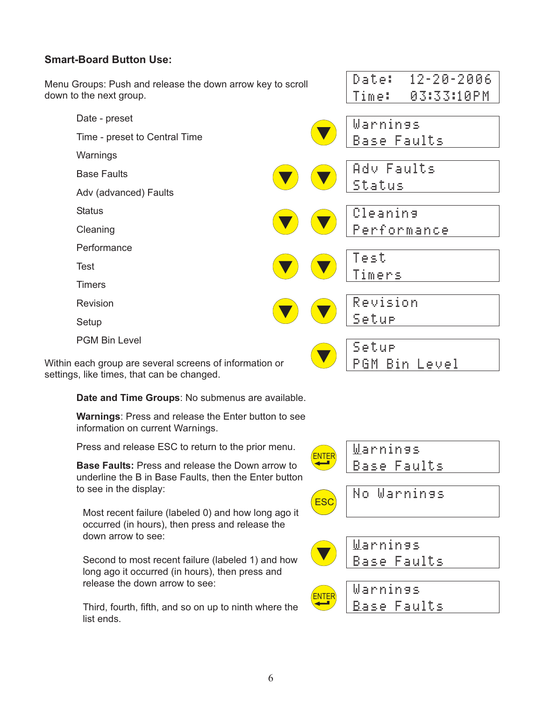### **Smart-Board Button Use:**

Menu Groups: Push and release the down arrow key to scroll down to the next group.

Date - preset

Time - preset to Central Time

- Warnings
- Base Faults
- Adv (advanced) Faults
- **Status**
- Cleaning
- **Performance**
- Test
- **Timers**
- **Revision**
- Setup
- PGM Bin Level

Within each group are several screens of information or settings, like times, that can be changed.

**Date and Time Groups**: No submenus are available.

**Warnings**: Press and release the Enter button to see information on current Warnings.

Press and release ESC to return to the prior menu.

**Base Faults:** Press and release the Down arrow to underline the B in Base Faults, then the Enter button to see in the display:

Most recent failure (labeled 0) and how long ago it occurred (in hours), then press and release the down arrow to see:

Second to most recent failure (labeled 1) and how long ago it occurred (in hours), then press and release the down arrow to see:

Third, fourth, fifth, and so on up to ninth where the list ends.



Date: 12-20-2006 Time: 03:33:10PM

Warnings

Base Faults

Adv Faults

Status

Test

Timers

Setup

Setup

Revision

Cleaning

Performance

PGM Bin Level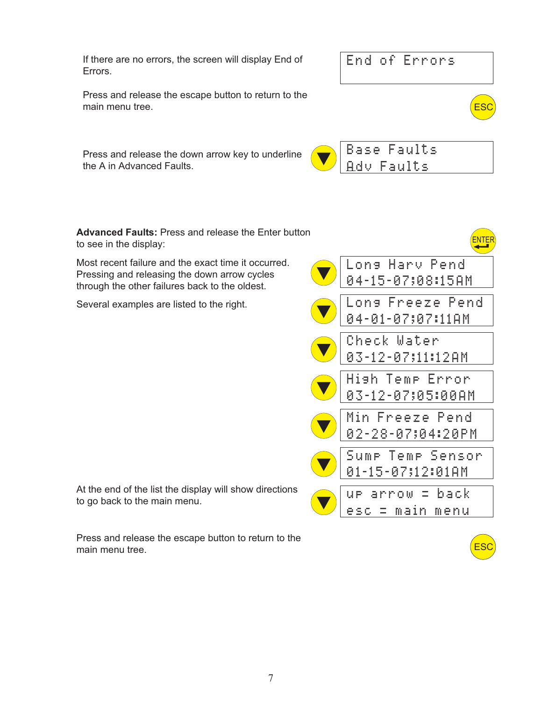If there are no errors, the screen will display End of Errors.



Press and release the escape button to return to the main menu tree.

Press and release the down arrow key to underline the A in Advanced Faults.



ESC

ESC

**Advanced Faults:** Press and release the Enter button to see in the display:

Most recent failure and the exact time it occurred. Pressing and releasing the down arrow cycles through the other failures back to the oldest.

Several examples are listed to the right.

At the end of the list the display will show directions to go back to the main menu.

Press and release the escape button to return to the main menu tree.

| Lons Harv Pend<br>04-15-07;08:15AM    |
|---------------------------------------|
| Lons Freeze Pend<br>04-01-07;07:11AM  |
| Check Water<br>03-12-07;11:12AM       |
| Hish Temp Error<br>03-12-07;05:00AM   |
| Min Freeze Pend<br>02-28-07;04:20PM   |
| Sump Temp Sensor<br>01-15-07;12:01AM  |
| $E$ back<br>arrow.<br>esc = main menu |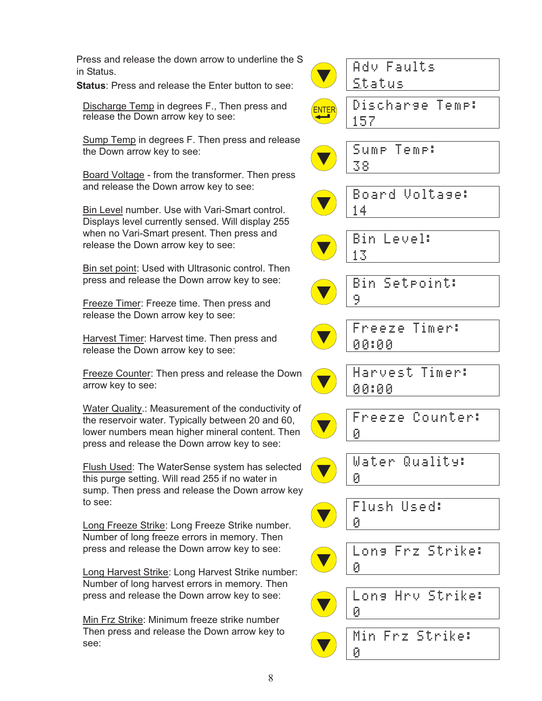Press and release the down arrow to underline the S in Status.

**Status**: Press and release the Enter button to see:

Discharge Temp in degrees F., Then press and release the Down arrow key to see:

Sump Temp in degrees F. Then press and release the Down arrow key to see:

Board Voltage - from the transformer. Then press and release the Down arrow key to see:

Bin Level number. Use with Vari-Smart control. Displays level currently sensed. Will display 255 when no Vari-Smart present. Then press and release the Down arrow key to see:

Bin set point: Used with Ultrasonic control. Then press and release the Down arrow key to see:

Freeze Timer: Freeze time. Then press and release the Down arrow key to see:

Harvest Timer: Harvest time. Then press and release the Down arrow key to see:

Freeze Counter: Then press and release the Down arrow key to see:

Water Quality.: Measurement of the conductivity of the reservoir water. Typically between 20 and 60, lower numbers mean higher mineral content. Then press and release the Down arrow key to see:

Flush Used: The WaterSense system has selected this purge setting. Will read 255 if no water in sump. Then press and release the Down arrow key to see:

Long Freeze Strike: Long Freeze Strike number. Number of long freeze errors in memory. Then press and release the Down arrow key to see:

Long Harvest Strike: Long Harvest Strike number: Number of long harvest errors in memory. Then press and release the Down arrow key to see:

Min Frz Strike: Minimum freeze strike number Then press and release the Down arrow key to see:

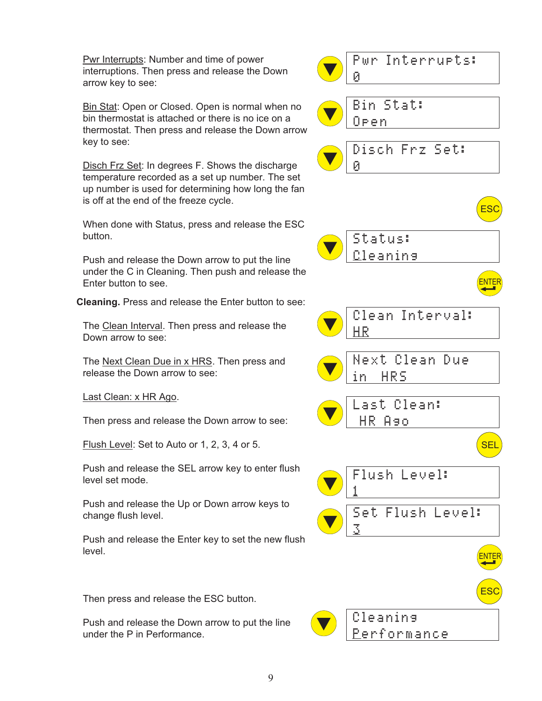Pwr Interrupts: Number and time of power interruptions. Then press and release the Down arrow key to see:

Bin Stat: Open or Closed. Open is normal when no bin thermostat is attached or there is no ice on a thermostat. Then press and release the Down arrow key to see:

Disch Frz Set: In degrees F. Shows the discharge temperature recorded as a set up number. The set up number is used for determining how long the fan is off at the end of the freeze cycle.

When done with Status, press and release the ESC button.

Push and release the Down arrow to put the line under the C in Cleaning. Then push and release the Enter button to see.

**Cleaning.** Press and release the Enter button to see:

The Clean Interval. Then press and release the Down arrow to see:

The Next Clean Due in x HRS. Then press and release the Down arrow to see:

Last Clean: x HR Ago.

Then press and release the Down arrow to see:

Flush Level: Set to Auto or 1, 2, 3, 4 or 5.

Push and release the SEL arrow key to enter flush level set mode.

Push and release the Up or Down arrow keys to change flush level.

Push and release the Enter key to set the new flush level.

Then press and release the ESC button.

Push and release the Down arrow to put the line under the P in Performance.

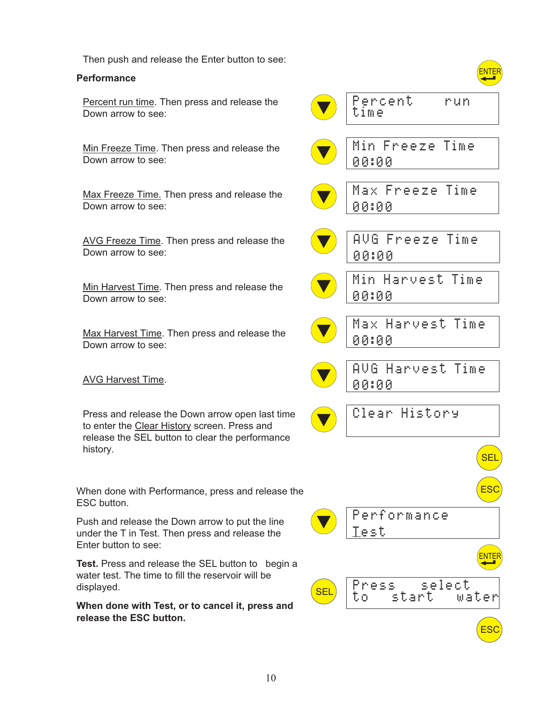Then push and release the Enter button to see:

#### **Performance**

Percent run time. Then press and release the Down arrow to see:

Min Freeze Time. Then press and release the Down arrow to see:

Max Freeze Time. Then press and release the Down arrow to see:

AVG Freeze Time. Then press and release the Down arrow to see:

Min Harvest Time. Then press and release the Down arrow to see:

Max Harvest Time. Then press and release the Down arrow to see:

**AVG Harvest Time.** 

Press and release the Down arrow open last time to enter the Clear History screen. Press and release the SEL button to clear the performance history.

When done with Performance, press and release the ESC button.

Push and release the Down arrow to put the line under the T in Test. Then press and release the Enter button to see:

**Test.** Press and release the SEL button to begin a water test. The time to fill the reservoir will be displayed.

**When done with Test, or to cancel it, press and release the ESC button.**

|            | Percent.<br>n mun<br>time        |
|------------|----------------------------------|
|            | Min Freeze Time<br>00:00         |
|            | Max Freeze Time<br>00:00         |
|            | AVG Freeze Time<br>00:00         |
|            | Min Harvest Time<br>00:00        |
|            | Max Harvest Time<br>00100        |
|            | AVG Harvest Time<br>00:00        |
|            | Clear History                    |
|            | <b>SEL</b>                       |
|            | ES <sup>(</sup>                  |
|            | Performance<br><b>Test</b>       |
|            |                                  |
| <b>SEL</b> | Press select  <br>to start water |
|            | <b>ES</b>                        |

 $\sqrt{2}$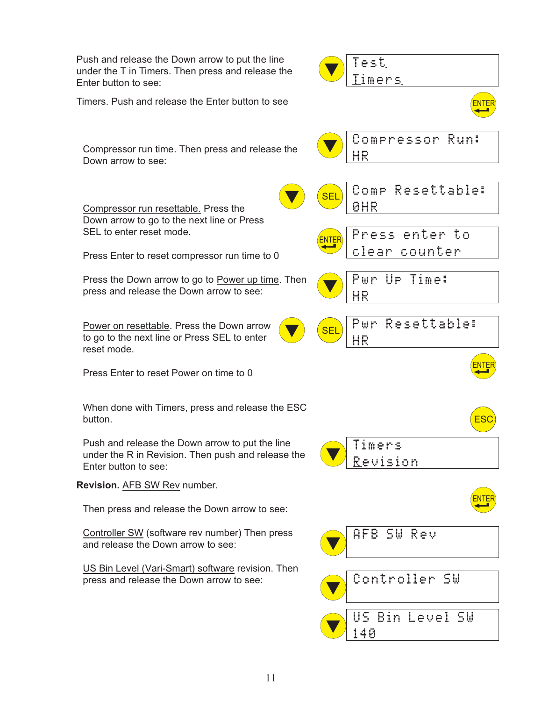Push and release the Down arrow to put the line under the T in Timers. Then press and release the Enter button to see: Timers. Push and release the Enter button to see Compressor run time. Then press and release the Down arrow to see: Compressor run resettable. Press the Down arrow to go to the next line or Press SEL to enter reset mode. Press Enter to reset compressor run time to 0 Press the Down arrow to go to Power up time. Then press and release the Down arrow to see: Power on resettable. Press the Down arrow to go to the next line or Press SEL to enter reset mode. Press Enter to reset Power on time to 0 When done with Timers, press and release the ESC button. Push and release the Down arrow to put the line under the R in Revision. Then push and release the Enter button to see: **Revision.** AFB SW Rev number. Then press and release the Down arrow to see: Controller SW (software rev number) Then press and release the Down arrow to see: US Bin Level (Vari-Smart) software revision. Then press and release the Down arrow to see: Test Timers Compressor Run: H R Comp Resettable: **ØHR** Press enter to clear counter Pwr Up Time: HR<sup></sup> Pwr Resettable: H R Timers R evision SEL <u>ENTER</u> ENTER SEL ESC AFB SW Rev Controller SW ENTER <u>ENTER</u> US Bin Level SW 40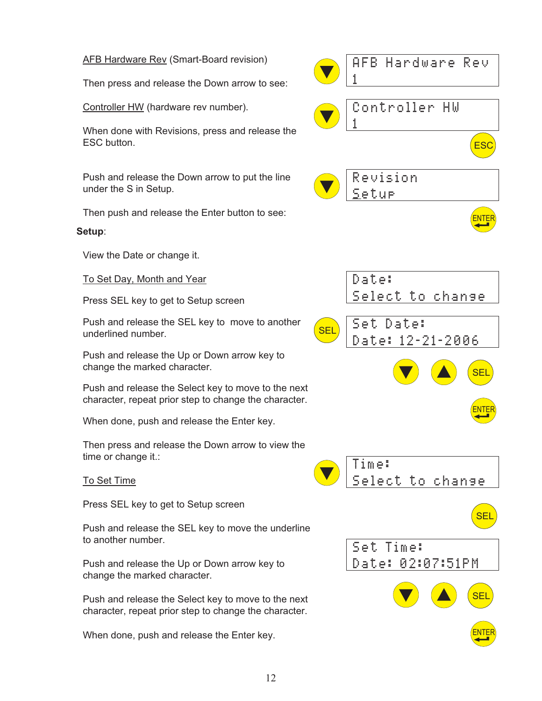#### AFB Hardware Rev (Smart-Board revision) Then press and release the Down arrow to see: Controller HW (hardware rev number). When done with Revisions, press and release the ESC button. Push and release the Down arrow to put the line under the S in Setup. Then push and release the Enter button to see: **Setup**: View the Date or change it. To Set Day, Month and Year Press SEL key to get to Setup screen Push and release the SEL key to move to another underlined number. Push and release the Up or Down arrow key to change the marked character. Push and release the Select key to move to the next character, repeat prior step to change the character. When done, push and release the Enter key. Then press and release the Down arrow to view the time or change it.: To Set Time Press SEL key to get to Setup screen Push and release the SEL key to move the underline to another number. Push and release the Up or Down arrow key to change the marked character. Push and release the Select key to move to the next character, repeat prior step to change the character. When done, push and release the Enter key. AFB Hardware Rev **1** Controller HW **1** Revision S etup ES<sup>C</sup> ENTER Date: Select to change Set Date: Date: 12-21-2006 Time: Select to change 34 SEL SEL ENTER Set Time: Date: 02:07:51PM 34 SEL SEL ENTER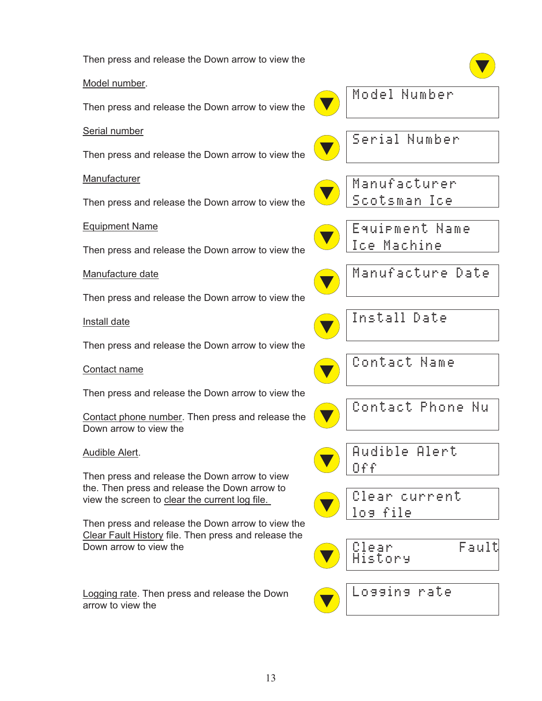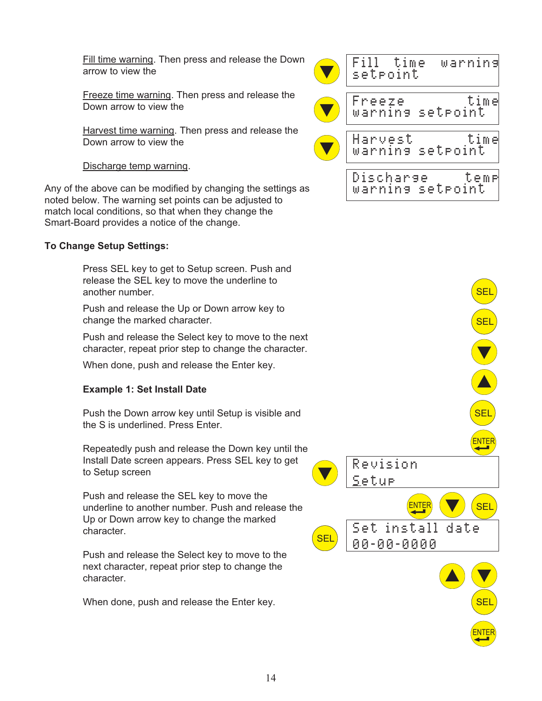Fill time warning. Then press and release the Down arrow to view the

Freeze time warning. Then press and release the Down arrow to view the

Harvest time warning. Then press and release the Down arrow to view the

#### Discharge temp warning.

Any of the above can be modified by changing the settings as noted below. The warning set points can be adjusted to match local conditions, so that when they change the Smart-Board provides a notice of the change.

#### **To Change Setup Settings:**

Press SEL key to get to Setup screen. Push and release the SEL key to move the underline to another number.

Push and release the Up or Down arrow key to change the marked character.

Push and release the Select key to move to the next character, repeat prior step to change the character.

When done, push and release the Enter key.

#### **Example 1: Set Install Date**

Push the Down arrow key until Setup is visible and the S is underlined. Press Enter.

Repeatedly push and release the Down key until the Install Date screen appears. Press SEL key to get to Setup screen

Push and release the SEL key to move the underline to another number. Push and release the Up or Down arrow key to change the marked character.

Push and release the Select key to move to the next character, repeat prior step to change the character.

When done, push and release the Enter key.



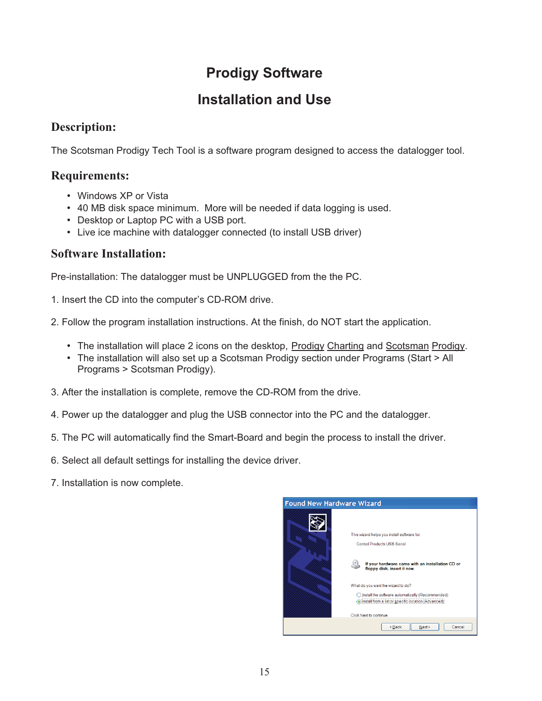# **Prodigy Software**

# **Installation and Use**

# **Description:**

The Scotsman Prodigy Tech Tool is a software program designed to access the datalogger tool.

### **Requirements:**

- Windows XP or Vista
- 40 MB disk space minimum. More will be needed if data logging is used.
- Desktop or Laptop PC with a USB port.
- Live ice machine with datalogger connected (to install USB driver)

# **Software Installation:**

Pre-installation: The datalogger must be UNPLUGGED from the the PC.

- 1. Insert the CD into the computer's CD-ROM drive.
- 2. Follow the program installation instructions. At the finish, do NOT start the application.
	- The installation will place 2 icons on the desktop, Prodigy Charting and Scotsman Prodigy.
	- The installation will also set up a Scotsman Prodigy section under Programs (Start > All Programs > Scotsman Prodigy).
- 3. After the installation is complete, remove the CD-ROM from the drive.
- 4. Power up the datalogger and plug the USB connector into the PC and the datalogger.
- 5. The PC will automatically find the Smart-Board and begin the process to install the driver.
- 6. Select all default settings for installing the device driver.
- 7. Installation is now complete.

| <b>Found New Hardware Wizard</b> |                                                                                                                                                                                                                                                                                                                                           |
|----------------------------------|-------------------------------------------------------------------------------------------------------------------------------------------------------------------------------------------------------------------------------------------------------------------------------------------------------------------------------------------|
|                                  | This wizard helps you install software for:<br>Control Products USB-Serial<br>If your hardware came with an installation CD or<br>floppy disk, insert it now.<br>What do you want the wizard to do?<br>Install the software automatically (Recommended)<br>Install from a list or specific location (Advanced)<br>Click Next to continue. |
|                                  | <back<br>Next<br/>Cancel</back<br>                                                                                                                                                                                                                                                                                                        |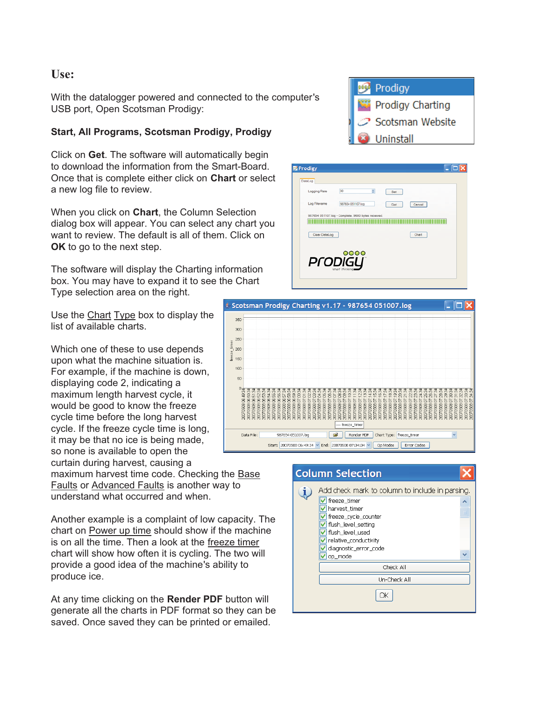### **Use:**

With the datalogger powered and connected to the computer's USB port, Open Scotsman Prodigy:

#### **Start, All Programs, Scotsman Prodigy, Prodigy**

Click on **Get**. The software will automatically begin to download the information from the Smart-Board. Once that is complete either click on **Chart** or select a new log file to review.

When you click on **Chart**, the Column Selection dialog box will appear. You can select any chart you want to review. The default is all of them. Click on **OK** to go to the next step.

The software will display the Charting information box. You may have to expand it to see the Chart Type selection area on the right.

Use the Chart Type box to display the list of available charts.

Which one of these to use depends upon what the machine situation is. For example, if the machine is down, displaying code 2, indicating a maximum length harvest cycle, it would be good to know the freeze cycle time before the long harvest cycle. If the freeze cycle time is long, it may be that no ice is being made, so none is available to open the curtain during harvest, causing a

maximum harvest time code. Checking the Base Faults or Advanced Faults is another way to understand what occurred and when.

Another example is a complaint of low capacity. The chart on Power up time should show if the machine is on all the time. Then a look at the freeze timer chart will show how often it is cycling. The two will provide a good idea of the machine's ability to produce ice.

At any time clicking on the **Render PDF** button will generate all the charts in PDF format so they can be saved. Once saved they can be printed or emailed.







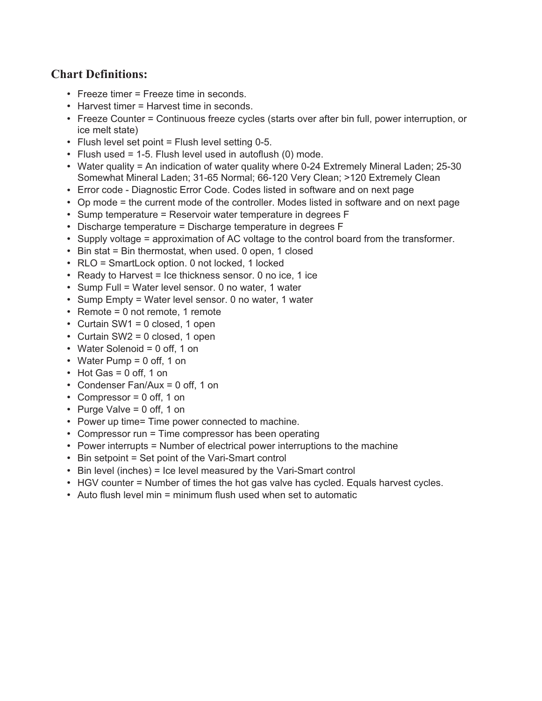# **Chart Definitions:**

- Freeze timer = Freeze time in seconds.
- Harvest timer = Harvest time in seconds.
- Freeze Counter = Continuous freeze cycles (starts over after bin full, power interruption, or ice melt state)
- Flush level set point  $=$  Flush level setting 0-5.
- Flush used = 1-5. Flush level used in autoflush  $(0)$  mode.
- Water quality = An indication of water quality where 0-24 Extremely Mineral Laden; 25-30 Somewhat Mineral Laden; 31-65 Normal; 66-120 Very Clean; >120 Extremely Clean
- Error code Diagnostic Error Code. Codes listed in software and on next page
- Op mode = the current mode of the controller. Modes listed in software and on next page
- Sump temperature = Reservoir water temperature in degrees F
- Discharge temperature = Discharge temperature in degrees F
- Supply voltage = approximation of AC voltage to the control board from the transformer.
- Bin stat = Bin thermostat, when used. 0 open, 1 closed
- RLO = SmartLock option. 0 not locked, 1 locked
- Ready to Harvest = Ice thickness sensor. 0 no ice, 1 ice
- Sump Full = Water level sensor. 0 no water, 1 water
- Sump Empty = Water level sensor. 0 no water, 1 water
- Remote = 0 not remote, 1 remote
- Curtain SW1 = 0 closed, 1 open
- Curtain SW2 = 0 closed, 1 open
- Water Solenoid = 0 off, 1 on
- Water Pump = 0 off, 1 on
- $\cdot$  Hot Gas = 0 off, 1 on
- Condenser Fan/Aux = 0 off, 1 on
- Compressor = 0 off, 1 on
- Purge Valve = 0 off, 1 on
- Power up time= Time power connected to machine.
- Compressor run = Time compressor has been operating
- Power interrupts = Number of electrical power interruptions to the machine
- Bin setpoint = Set point of the Vari-Smart control
- Bin level (inches) = Ice level measured by the Vari-Smart control
- HGV counter = Number of times the hot gas valve has cycled. Equals harvest cycles.
- Auto flush level min = minimum flush used when set to automatic